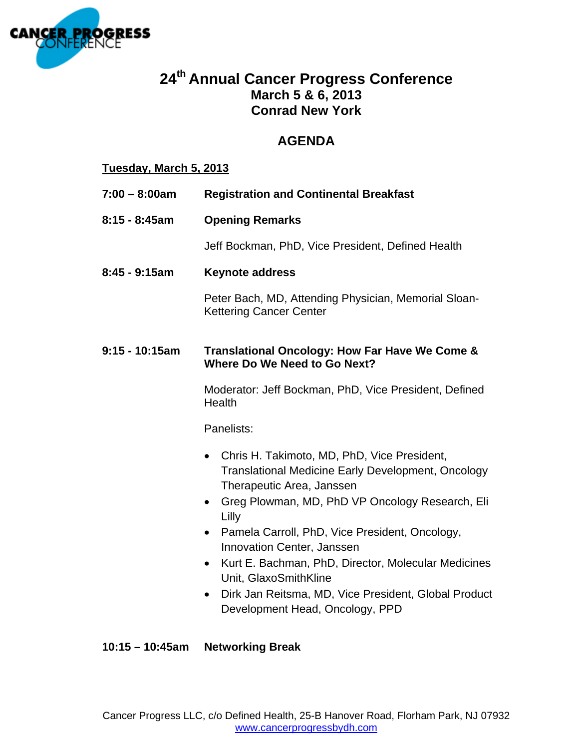

# **24th Annual Cancer Progress Conference March 5 & 6, 2013 Conrad New York**

# **AGENDA**

## **Tuesday, March 5, 2013**

- **7:00 8:00am Registration and Continental Breakfast**
- **8:15 8:45am Opening Remarks**

Jeff Bockman, PhD, Vice President, Defined Health

**8:45 - 9:15am Keynote address** 

Peter Bach, MD, Attending Physician, Memorial Sloan-Kettering Cancer Center

## **9:15 - 10:15am Translational Oncology: How Far Have We Come & Where Do We Need to Go Next?**

Moderator: Jeff Bockman, PhD, Vice President, Defined **Health** 

Panelists:

- Chris H. Takimoto, MD, PhD, Vice President, Translational Medicine Early Development, Oncology Therapeutic Area, Janssen
- Greg Plowman, MD, PhD VP Oncology Research, Eli Lilly
- Pamela Carroll, PhD, Vice President, Oncology, Innovation Center, Janssen
- Kurt E. Bachman, PhD, Director, Molecular Medicines Unit, GlaxoSmithKline
- Dirk Jan Reitsma, MD, Vice President, Global Product Development Head, Oncology, PPD

## **10:15 – 10:45am Networking Break**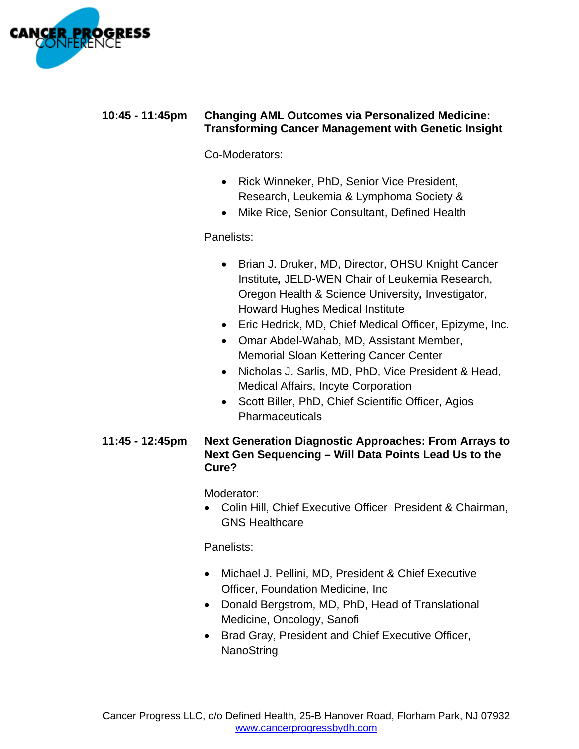

## **10:45 - 11:45pm Changing AML Outcomes via Personalized Medicine: Transforming Cancer Management with Genetic Insight**

Co-Moderators:

- Rick Winneker, PhD, Senior Vice President, Research, Leukemia & Lymphoma Society &
- Mike Rice, Senior Consultant, Defined Health

# Panelists:

- Brian J. Druker, MD, Director, OHSU Knight Cancer Institute*,* JELD-WEN Chair of Leukemia Research, Oregon Health & Science University*,* Investigator, Howard Hughes Medical Institute
- Eric Hedrick, MD, Chief Medical Officer, Epizyme, Inc.
- Omar Abdel-Wahab, MD, Assistant Member, Memorial Sloan Kettering Cancer Center
- Nicholas J. Sarlis, MD, PhD, Vice President & Head, Medical Affairs, Incyte Corporation
- Scott Biller, PhD, Chief Scientific Officer, Agios **Pharmaceuticals**

## **11:45 - 12:45pm Next Generation Diagnostic Approaches: From Arrays to Next Gen Sequencing – Will Data Points Lead Us to the Cure?**

Moderator:

 Colin Hill, Chief Executive Officer President & Chairman, GNS Healthcare

Panelists:

- Michael J. Pellini, MD, President & Chief Executive Officer, Foundation Medicine, Inc
- Donald Bergstrom, MD, PhD, Head of Translational Medicine, Oncology, Sanofi
- Brad Gray, President and Chief Executive Officer, **NanoString**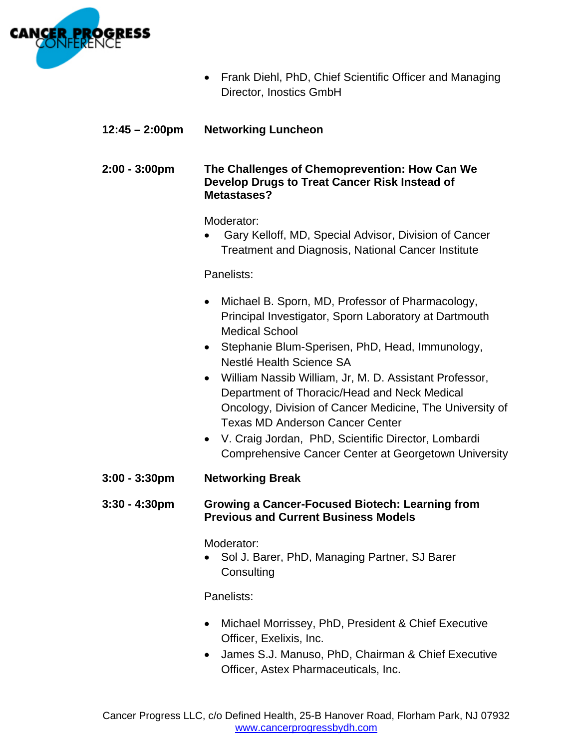

- Frank Diehl, PhD, Chief Scientific Officer and Managing Director, Inostics GmbH
- **12:45 2:00pm Networking Luncheon**

## **2:00 - 3:00pm The Challenges of Chemoprevention: How Can We Develop Drugs to Treat Cancer Risk Instead of Metastases?**

Moderator:

 Gary Kelloff, MD, Special Advisor, Division of Cancer Treatment and Diagnosis, National Cancer Institute

Panelists:

- Michael B. Sporn, MD, Professor of Pharmacology, Principal Investigator, Sporn Laboratory at Dartmouth Medical School
- Stephanie Blum-Sperisen, PhD, Head, Immunology, Nestlé Health Science SA
- William Nassib William, Jr, M. D. Assistant Professor, Department of Thoracic/Head and Neck Medical Oncology, Division of Cancer Medicine, The University of Texas MD Anderson Cancer Center
- V. Craig Jordan, PhD, Scientific Director, Lombardi Comprehensive Cancer Center at Georgetown University
- **3:00 3:30pm Networking Break**

#### **3:30 - 4:30pm Growing a Cancer-Focused Biotech: Learning from Previous and Current Business Models**

Moderator:

• Sol J. Barer, PhD, Managing Partner, SJ Barer **Consulting** 

Panelists:

- Michael Morrissey, PhD, President & Chief Executive Officer, Exelixis, Inc.
- James S.J. Manuso, PhD, Chairman & Chief Executive Officer, Astex Pharmaceuticals, Inc.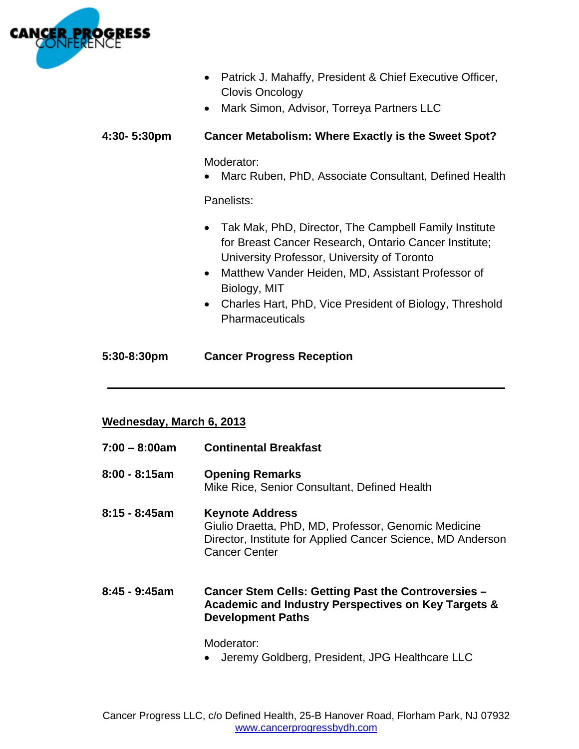

- Patrick J. Mahaffy, President & Chief Executive Officer, Clovis Oncology
- Mark Simon, Advisor, Torreya Partners LLC

## **4:30- 5:30pm Cancer Metabolism: Where Exactly is the Sweet Spot?**

Moderator:

Marc Ruben, PhD, Associate Consultant, Defined Health

Panelists:

- Tak Mak, PhD, Director, The Campbell Family Institute for Breast Cancer Research, Ontario Cancer Institute; University Professor, University of Toronto
- Matthew Vander Heiden, MD, Assistant Professor of Biology, MIT
- Charles Hart, PhD, Vice President of Biology, Threshold Pharmaceuticals

## **5:30-8:30pm Cancer Progress Reception**

## **Wednesday, March 6, 2013**

| 7:00 - 8:00am | <b>Continental Breakfast</b>                                                                                                                                          |
|---------------|-----------------------------------------------------------------------------------------------------------------------------------------------------------------------|
| 8:00 - 8:15am | <b>Opening Remarks</b><br>Mike Rice, Senior Consultant, Defined Health                                                                                                |
| 8:15 - 8:45am | <b>Keynote Address</b><br>Giulio Draetta, PhD, MD, Professor, Genomic Medicine<br>Director, Institute for Applied Cancer Science, MD Anderson<br><b>Cancer Center</b> |
| 8:45 - 9:45am | Cancer Stem Cells: Getting Past the Controversies -<br>Academic and Industry Perspectives on Key Targets &<br><b>Development Paths</b>                                |
|               | Moderator:                                                                                                                                                            |

**\_\_\_\_\_\_\_\_\_\_\_\_\_\_\_\_\_\_\_\_\_\_\_\_\_\_\_\_\_\_\_\_\_\_\_\_\_\_\_\_\_\_\_\_\_\_\_\_\_\_\_\_\_\_\_\_\_\_\_\_\_\_\_**

Jeremy Goldberg, President, JPG Healthcare LLC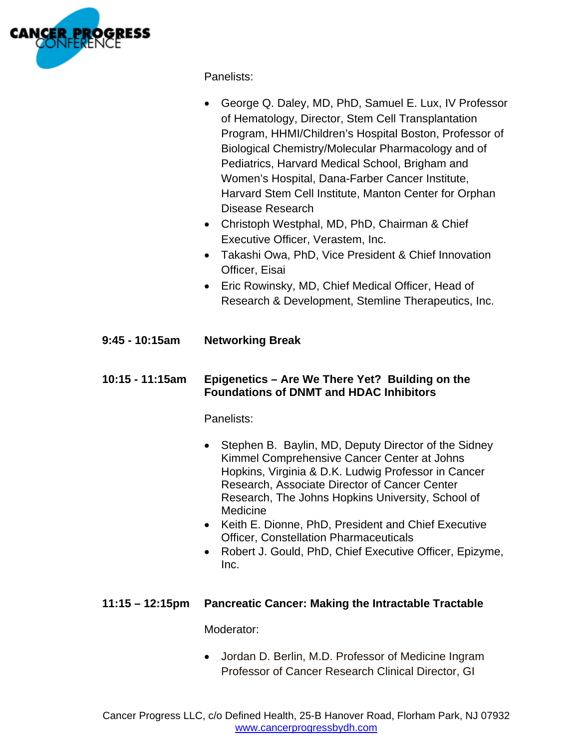

Panelists:

- George Q. Daley, MD, PhD, Samuel E. Lux, IV Professor of Hematology, Director, Stem Cell Transplantation Program, HHMI/Children's Hospital Boston, Professor of Biological Chemistry/Molecular Pharmacology and of Pediatrics, Harvard Medical School, Brigham and Women's Hospital, Dana-Farber Cancer Institute, Harvard Stem Cell Institute, Manton Center for Orphan Disease Research
- Christoph Westphal, MD, PhD, Chairman & Chief Executive Officer, Verastem, Inc.
- Takashi Owa, PhD, Vice President & Chief Innovation Officer, Eisai
- Eric Rowinsky, MD, Chief Medical Officer, Head of Research & Development, Stemline Therapeutics, Inc.

# **9:45 - 10:15am Networking Break**

## **10:15 - 11:15am Epigenetics – Are We There Yet? Building on the Foundations of DNMT and HDAC Inhibitors**

Panelists:

- Stephen B. Baylin, MD, Deputy Director of the Sidney Kimmel Comprehensive Cancer Center at Johns Hopkins, Virginia & D.K. Ludwig Professor in Cancer Research, Associate Director of Cancer Center Research, The Johns Hopkins University, School of Medicine
- Keith E. Dionne, PhD, President and Chief Executive Officer, Constellation Pharmaceuticals
- Robert J. Gould, PhD, Chief Executive Officer, Epizyme, Inc.

## **11:15 – 12:15pm Pancreatic Cancer: Making the Intractable Tractable**

Moderator:

 Jordan D. Berlin, M.D. Professor of Medicine Ingram Professor of Cancer Research Clinical Director, GI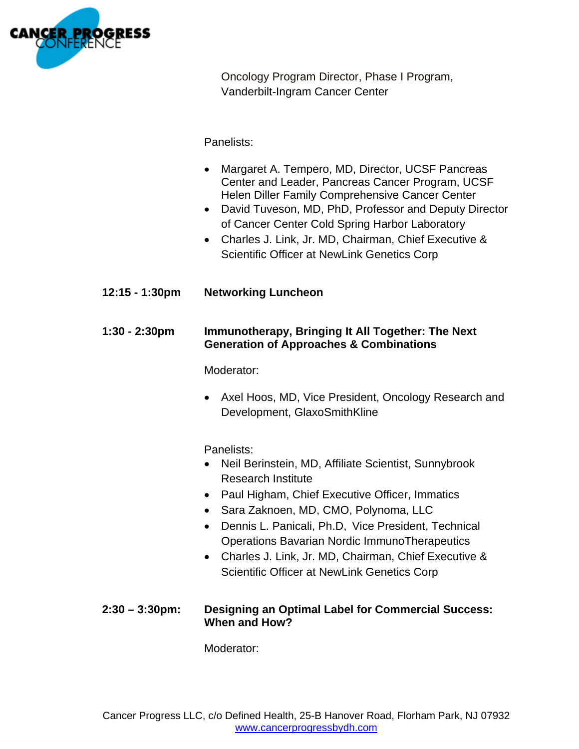

Oncology Program Director, Phase I Program, Vanderbilt-Ingram Cancer Center

Panelists:

- Margaret A. Tempero, MD, Director, UCSF Pancreas Center and Leader, Pancreas Cancer Program, UCSF Helen Diller Family Comprehensive Cancer Center
- David Tuveson, MD, PhD, Professor and Deputy Director of Cancer Center Cold Spring Harbor Laboratory
- Charles J. Link, Jr. MD, Chairman, Chief Executive & Scientific Officer at NewLink Genetics Corp
- **12:15 1:30pm Networking Luncheon**

## **1:30 - 2:30pm Immunotherapy, Bringing It All Together: The Next Generation of Approaches & Combinations**

Moderator:

• Axel Hoos, MD, Vice President, Oncology Research and Development, GlaxoSmithKline

Panelists:

- Neil Berinstein, MD, Affiliate Scientist, Sunnybrook Research Institute
- Paul Higham, Chief Executive Officer, Immatics
- Sara Zaknoen, MD, CMO, Polynoma, LLC
- Dennis L. Panicali, Ph.D, Vice President, Technical Operations Bavarian Nordic ImmunoTherapeutics
- Charles J. Link, Jr. MD, Chairman, Chief Executive & Scientific Officer at NewLink Genetics Corp

## **2:30 – 3:30pm: Designing an Optimal Label for Commercial Success: When and How?**

Moderator: